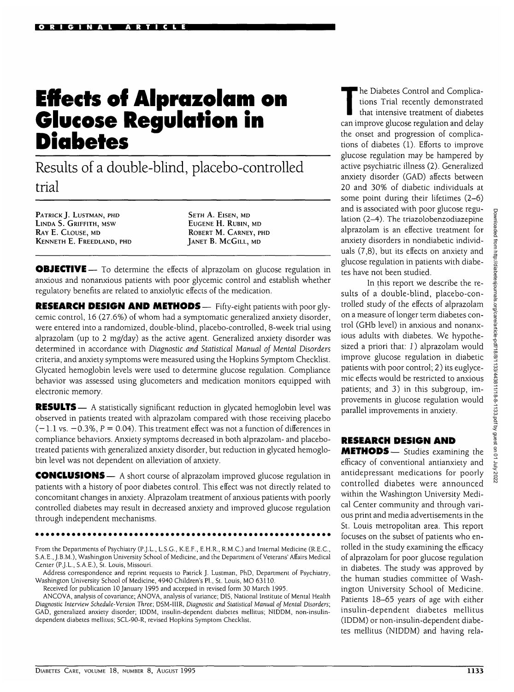# **Effects of Alprazolam on Glucose Regulation in Diabetes**

Results of a double-blind, placebo-controlled trial

PATRICK J. LUSTMAN, PHD LINDA S. GRIFFITH, MSW RAY E. CLOUSE, MD KENNETH E. FREEDLAND, PHD

SETH A. EISEN, MD EUGENE H. RUBIN, MD ROBERT M. CARNEY, PHD JANET B. MCGILL, MD

**OBJECTIVE** — To determine the effects of alprazolam on glucose regulation in anxious and nonanxious patients with poor glycemic control and establish whether regulatory benefits are related to anxiolytic effects of the medication.

**RESEARCH DESIGN AND METHODS—** Fifty-eight patients with poor glycemic control, 16 (27.6%) of whom had a symptomatic generalized anxiety disorder, were entered into a randomized, double-blind, placebo-controlled, 8-week trial using alprazolam (up to 2 mg/day) as the active agent. Generalized anxiety disorder was determined in accordance with *Diagnostic and Statistical Manual of Mental Disorders* criteria, and anxiety symptoms were measured using the Hopkins Symptom Checklist. Glycated hemoglobin levels were used to determine glucose regulation. Compliance behavior was assessed using glucometers and medication monitors equipped with electronic memory.

**RESULTS** — A statistically significant reduction in glycated hemoglobin level was observed in patients treated with alprazolam compared with those receiving placebo  $(-1.1 \text{ vs. } -0.3\%$ ,  $P = 0.04$ ). This treatment effect was not a function of differences in compliance behaviors. Anxiety symptoms decreased in both alprazolam- and placebotreated patients with generalized anxiety disorder, but reduction in glycated hemoglobin level was not dependent on alleviation of anxiety.

**CONCLUSIONS** — A short course of alprazolam improved glucose regulation in patients with a history of poor diabetes control. This effect was not directly related to concomitant changes in anxiety. Alprazolam treatment of anxious patients with poorly controlled diabetes may result in decreased anxiety and improved glucose regulation through independent mechanisms.

From the Departments of Psychiatry (P.J.L., L.S.G., K.E.F., E.H.R., R.M.C.) and Internal Medicine (R.E.C., S.A.E., J.B.M.), Washington University School of Medicine, and the Department of Veterans' Affairs Medical Center (P.J.L., S.A.E.), St. Louis, Missouri.

Address correspondence and reprint requests to Patrick J. Lustman, PhD, Department of Psychiatry, Washington University School of Medicine, 4940 Children's PI., St. Louis, MO 63110.

Received for publication 10 January 1995 and accepted in revised form 30 March 1995.

ANCOVA, analysis of covariance; ANOVA, analysis of variance; D1S, National Institute of Mental Health Diagnostic *Interview Schedule-Version Three;* DSM-I11R, *Diagnostic and Statistical Manual of Mental Disorders;* GAD, generalized anxiety disorder; 1DDM, insulin-dependent diabetes mellitus; NIDDM, non-insulindependent diabetes mellitus; SCL-90-R, revised Hopkins Symptom Checklist.

The Diabetes Control and Complica-<br>tions Trial recently demonstrated<br>that intensive treatment of diabetes tions Trial recently demonstrated that intensive treatment of diabetes can improve glucose regulation and delay the onset and progression of complications of diabetes (1). Efforts to improve glucose regulation may be hampered by active psychiatric illness (2). Generalized anxiety disorder (GAD) affects between 20 and 30% of diabetic individuals at some point during their lifetimes (2-6) and is associated with poor glucose regulation (2-4). The triazolobenzodiazepine alprazolam is an effective treatment for anxiety disorders in nondiabetic individuals (7,8), but its effects on anxiety and glucose regulation in patients with diabetes have not been studied.

In this report we describe the results of a double-blind, placebo-controlled study of the effects of alprazolam on a measure of longer term diabetes control (GHb level) in anxious and nonanxious adults with diabetes. We hypothesized a priori that: *1*) alprazolam would improve glucose regulation in diabetic patients with poor control; 2) its euglycemic effects would be restricted to anxious patients; and 3) in this subgroup, improvements in glucose regulation would parallel improvements in anxiety.

#### **RESEARCH DESIGN AND**

**METHODS**— Studies examining the efficacy of conventional antianxiety and antidepressant medications for poorly controlled diabetes were announced within the Washington University Medical Center community and through various print and media advertisements in the St. Louis metropolitan area. This report focuses on the subset of patients who enrolled in the study examining the efficacy of alprazolam for poor glucose regulation in diabetes. The study was approved by the human studies committee of Washington University School of Medicine. Patients 18-65 years of age with either insulin-dependent diabetes mellitus (IDDM) or non-insulin-dependent diabetes mellitus (NIDDM) and having rela-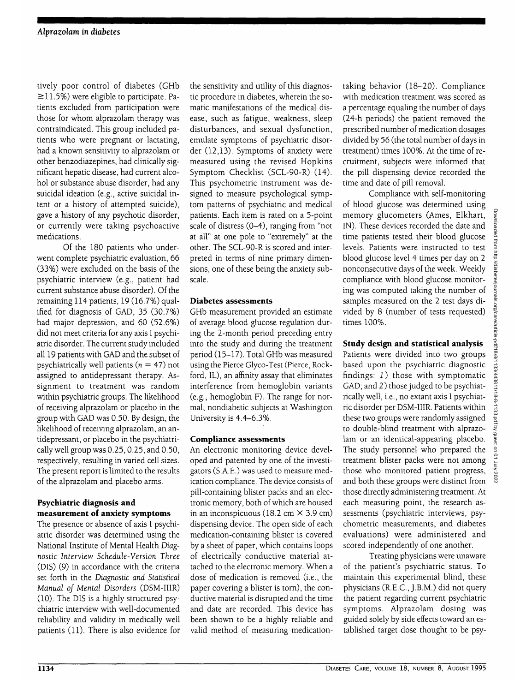tively poor control of diabetes (GHb  $\ge$ 11.5%) were eligible to participate. Patients excluded from participation were those for whom alprazolam therapy was contraindicated. This group included patients who were pregnant or lactating, had a known sensitivity to alprazolam or other benzodiazepines, had clinically significant hepatic disease, had current alcohol or substance abuse disorder, had any suicidal ideation (e.g., active suicidal intent or a history of attempted suicide), gave a history of any psychotic disorder, or currently were taking psychoactive medications.

Of the 180 patients who underwent complete psychiatric evaluation, 66 (33%) were excluded on the basis of the psychiatric interview (e.g., patient had current substance abuse disorder). Of the remaining 114 patients, 19 (16.7%) qualified for diagnosis of GAD, 35 (30.7%) had major depression, and 60 (52.6%) did not meet criteria for any axis I psychiatric disorder. The current study included all 19 patients with GAD and the subset of psychiatrically well patients ( $n = 47$ ) not assigned to antidepressant therapy. Assignment to treatment was random within psychiatric groups. The likelihood of receiving alprazolam or placebo in the group with GAD was 0.50. By design, the likelihood of receiving alprazolam, an antidepressant, or placebo in the psychiatrically well group was 0.25,0.25, and 0.50, respectively, resulting in varied cell sizes. The present report is limited to the results of the alprazolam and placebo arms.

## **Psychiatric diagnosis and measurement of anxiety symptoms**

The presence or absence of axis I psychiatric disorder was determined using the National Institute of Mental Health *Diagnostic Interview Schedule-Version Three* (DIS) (9) in accordance with the criteria set forth in the *Diagnostic and Statistical Manual oj Mental Disorders* (DSM-IIIR) (10). The DIS is a highly structured psychiatric interview with well-documented reliability and validity in medically well patients (11). There is also evidence for

the sensitivity and utility of this diagnostic procedure in diabetes, wherein the somatic manifestations of the medical disease, such as fatigue, weakness, sleep disturbances, and sexual dysfunction, emulate symptoms of psychiatric disorder (12,13). Symptoms of anxiety were measured using the revised Hopkins Symptom Checklist (SCL-90-R) (14). This psychometric instrument was designed to measure psychological symptom patterns of psychiatric and medical patients. Each item is rated on a 5-point scale of distress (0-4), ranging from "not at all" at one pole to "extremely" at the other. The SCL-90-R is scored and interpreted in terms of nine primary dimensions, one of these being the anxiety subscale.

## **Diabetes assessments**

GHb measurement provided an estimate of average blood glucose regulation during the 2-month period preceding entry into the study and during the treatment period (15-17). Total GHb was measured using the Pierce Glyco-Test (Pierce, Rockford, IL), an affinity assay that eliminates interference from hemoglobin variants (e.g., hemoglobin F). The range for normal, nondiabetic subjects at Washington University is 4.4-6.3%.

## **Compliance assessments**

An electronic monitoring device developed and patented by one of the investigators (S.A.E.) was used to measure medication compliance. The device consists of pill-containing blister packs and an electronic memory, both of which are housed in an inconspicuous (18.2 cm  $\times$  3.9 cm) dispensing device. The open side of each medication-containing blister is covered by a sheet of paper, which contains loops of electrically conductive material attached to the electronic memory. When a dose of medication is removed (i.e., the paper covering a blister is torn), the conductive material is disrupted and the time and date are recorded. This device has been shown to be a highly reliable and valid method of measuring medicationtaking behavior (18-20). Compliance with medication treatment was scored as a percentage equaling the number of days (24-h periods) the patient removed the prescribed number of medication dosages divided by 56 (the total number of days in treatment) times 100%. At the time of recruitment, subjects were informed that the pill dispensing device recorded the time and date of pill removal.

Compliance with self-monitoring of blood glucose was determined using memory glucometers (Ames, Elkhart, IN). These devices recorded the date and time patients tested their blood glucose levels. Patients were instructed to test blood glucose level 4 times per day on 2 nonconsecutive days of the week. Weekly compliance with blood glucose monitoring was computed taking the number of samples measured on the 2 test days divided by 8 (number of tests requested) times 100%.

## **Study design and statistical analysis**

Patients were divided into two groups based upon the psychiatric diagnostic findings: *1*) those with symptomatic GAD; and 2) those judged to be psychiatrically well, i.e., no extant axis I psychiatric disorder per DSM-IIIR. Patients within these two groups were randomly assigned to double-blind treatment with alprazolam or an identical-appearing placebo. The study personnel who prepared the treatment blister packs were not among those who monitored patient progress, and both these groups were distinct from those directly administering treatment. At each measuring point, the research assessments (psychiatric interviews, psychometric measurements, and diabetes evaluations) were administered and scored independently of one another.

Treating physicians were unaware of the patient's psychiatric status. To maintain this experimental blind, these physicians (R.E.C., J.B.M.) did not query the patient regarding current psychiatric symptoms. Alprazolam dosing was guided solely by side effects toward an established target dose thought to be psy-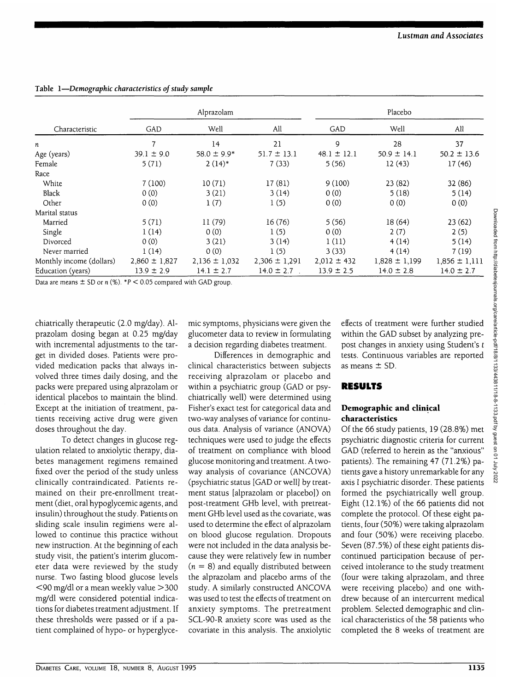| Characteristic           | Alprazolam        |                   |                   | Placebo         |                   |                   |
|--------------------------|-------------------|-------------------|-------------------|-----------------|-------------------|-------------------|
|                          | GAD               | Well              | All               | GAD             | Well              | All               |
| n                        | 7                 | 14                | 21                | 9               | 28                | 37                |
| Age (years)              | $39.1 \pm 9.0$    | $58.0 \pm 9.9*$   | $51.7 \pm 13.1$   | $48.1 \pm 12.1$ | $50.9 \pm 14.1$   | $50.2 \pm 13.6$   |
| Female                   | 5(71)             | $2(14)*$          | 7(33)             | 5(56)           | 12(43)            | 17(46)            |
| Race                     |                   |                   |                   |                 |                   |                   |
| White                    | 7(100)            | 10(71)            | 17(81)            | 9(100)          | 23(82)            | 32 (86)           |
| Black                    | 0(0)              | 3(21)             | 3(14)             | 0(0)            | 5(18)             | 5(14)             |
| Other                    | 0(0)              | 1(7)              | 1(5)              | 0(0)            | 0(0)              | 0(0)              |
| Marital status           |                   |                   |                   |                 |                   |                   |
| Married                  | 5(71)             | 11(79)            | 16(76)            | 5(56)           | 18(64)            | 23(62)            |
| Single                   | 1(14)             | 0(0)              | 1(5)              | 0(0)            | 2(7)              | 2(5)              |
| Divorced                 | 0(0)              | 3(21)             | 3(14)             | 1(11)           | 4(14)             | 5(14)             |
| Never married            | 1(14)             | 0(0)              | 1(5)              | 3(33)           | 4(14)             | 7(19)             |
| Monthly income (dollars) | $2,860 \pm 1,827$ | $2,136 \pm 1,032$ | $2,306 \pm 1,291$ | $2,012 \pm 432$ | $1,828 \pm 1,199$ | $1,856 \pm 1,111$ |
| Education (years)        | $13.9 \pm 2.9$    | $14.1 \pm 2.7$    | $14.0 \pm 2.7$    | $13.9 \pm 2.5$  | $14.0 \pm 2.8$    | $14.0 \pm 2.7$    |

**Table 1**—*Demographic characteristics of study sample*

Data are means  $\pm$  SD or n (%). \*P < 0.05 compared with GAD group.

chiatrically therapeutic (2.0 mg/day). Alprazolam dosing began at 0.25 mg/day with incremental adjustments to the target in divided doses. Patients were provided medication packs that always involved three times daily dosing, and the packs were prepared using alprazolam or identical placebos to maintain the blind. Except at the initiation of treatment, patients receiving active drug were given doses throughout the day.

To detect changes in glucose regulation related to anxiolytic therapy, diabetes management regimens remained fixed over the period of the study unless clinically contraindicated. Patients remained on their pre-enrollment treatment (diet, oral hypoglycemic agents, and insulin) throughout the study. Patients on sliding scale insulin regimens were allowed to continue this practice without new instruction. At the beginning of each study visit, the patient's interim glucometer data were reviewed by the study nurse. Two fasting blood glucose levels <90 mg/dl or a mean weekly value >300 mg/dl were considered potential indications for diabetes treatment adjustment. If these thresholds were passed or if a patient complained of hypo- or hyperglyce-

mic symptoms, physicians were given the glucometer data to review in formulating a decision regarding diabetes treatment.

Differences in demographic and clinical characteristics between subjects receiving alprazolam or placebo and within a psychiatric group (GAD or psychiatrically well) were determined using Fisher's exact test for categorical data and two-way analyses of variance for continuous data. Analysis of variance (ANOVA) techniques were used to judge the effects of treatment on compliance with blood glucose monitoring and treatment. A twoway analysis of covariance (ANCOVA) (psychiatric status [GAD or well] by treatment status [alprazolam or placebo]) on post-treatment GHb level, with pretreatment GHb level used as the covariate, was used to determine the effect of alprazolam on blood glucose regulation. Dropouts were not included in the data analysis because they were relatively few in number  $(n = 8)$  and equally distributed between the alprazolam and placebo arms of the study. A similarly constructed ANCOVA was used to test the effects of treatment on anxiety symptoms. The pretreatment SCL-90-R anxiety score was used as the covariate in this analysis. The anxiolytic

effects of treatment were further studied within the GAD subset by analyzing prepost changes in anxiety using Student's *t* tests. Continuous variables are reported as means ± SD.

#### **RESULTS**

#### **Demographic and clinical characteristics**

Of the 66 study patients, 19 (28.8%) met psychiatric diagnostic criteria for current GAD (referred to herein as the "anxious" patients). The remaining 47 (71.2%) patients gave a history unremarkable for any axis I psychiatric disorder. These patients formed the psychiatrically well group. Eight (12.1%) of the 66 patients did not complete the protocol. Of these eight patients, four (50%) were taking alprazolam and four (50%) were receiving placebo. Seven (87.5%) of these eight patients discontinued participation because of perceived intolerance to the study treatment (four were taking alprazolam, and three were receiving placebo) and one withdrew because of an intercurrent medical problem. Selected demographic and clinical characteristics of the 58 patients who completed the 8 weeks of treatment are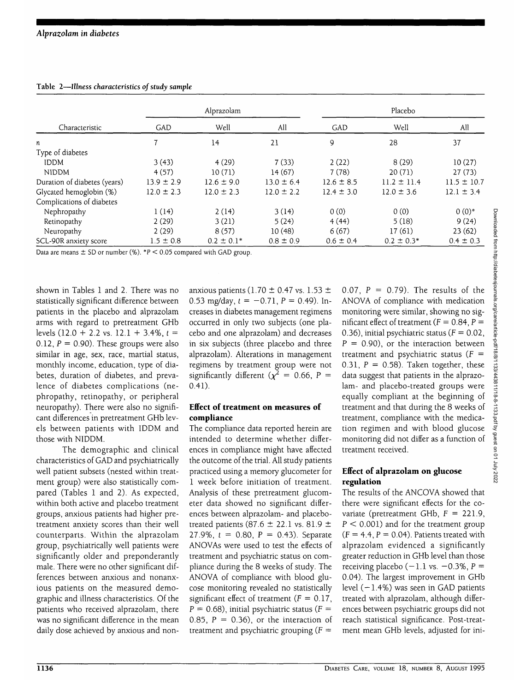| Characteristic               | Alprazolam     |                |                | Placebo        |                 |                 |
|------------------------------|----------------|----------------|----------------|----------------|-----------------|-----------------|
|                              | GAD            | Well           | All            | GAD            | Well            | All             |
| n                            |                | 14             | 21             | 9              | 28              | 37              |
| Type of diabetes             |                |                |                |                |                 |                 |
| <b>IDDM</b>                  | 3(43)          | 4(29)          | 7(33)          | 2(22)          | 8(29)           | 10(27)          |
| <b>NIDDM</b>                 | 4(57)          | 10(71)         | 14(67)         | 7(78)          | 20(71)          | 27(73)          |
| Duration of diabetes (years) | $13.9 \pm 2.9$ | $12.6 \pm 9.0$ | $13.0 \pm 6.4$ | $12.6 \pm 8.5$ | $11.2 \pm 11.4$ | $11.5 \pm 10.7$ |
| Glycated hemoglobin (%)      | $12.0 \pm 2.3$ | $12.0 \pm 2.3$ | $12.0 \pm 2.2$ | $12.4 \pm 3.0$ | $12.0 \pm 3.6$  | $12.1 \pm 3.4$  |
| Complications of diabetes    |                |                |                |                |                 |                 |
| Nephropathy                  | 1(14)          | 2(14)          | 3(14)          | 0(0)           | 0(0)            | $0(0)*$         |
| Retinopathy                  | 2(29)          | 3(21)          | 5(24)          | 4(44)          | 5(18)           | 9(24)           |
| Neuropathy                   | 2(29)          | 8(57)          | 10(48)         | 6(67)          | 17(61)          | 23(62)          |
| SCL-90R anxiety score        | $1.5 \pm 0.8$  | $0.2 \pm 0.1*$ | $0.8 \pm 0.9$  | $0.6 \pm 0.4$  | $0.2 \pm 0.3*$  | $0.4 \pm 0.3$   |

Table 2—*Illness characteristics of study sample*

Data are means  $\pm$  SD or number (%). \*P < 0.05 compared with GAD group.

shown in Tables 1 and 2. There was no statistically significant difference between patients in the placebo and alprazolam arms with regard to pretreatment GHb levels (12.0 + 2.2 vs. 12.1 + 3.4%, *t* = 0.12,  $P = 0.90$ . These groups were also similar in age, sex, race, martial status, monthly income, education, type of diabetes, duration of diabetes, and prevalence of diabetes complications (nephropathy, retinopathy, or peripheral neuropathy). There were also no significant differences in pretreatment GHb levels between patients with IDDM and those with NIDDM.

The demographic and clinical characteristics of GAD and psychiatrically well patient subsets (nested within treatment group) were also statistically compared (Tables 1 and 2). As expected, within both active and placebo treatment groups, anxious patients had higher pretreatment anxiety scores than their well counterparts. Within the alprazolam group, psychiatrically well patients were significantly older and preponderantly male. There were no other significant differences between anxious and nonanxious patients on the measured demographic and illness characteristics. Of the patients who received alprazolam, there was no significant difference in the mean daily dose achieved by anxious and nonanxious patients (1.70  $\pm$  0.47 vs. 1.53  $\pm$ 0.53 mg/day,  $t = -0.71$ ,  $P = 0.49$ ). Increases in diabetes management regimens occurred in only two subjects (one placebo and one alprazolam) and decreases in six subjects (three placebo and three alprazolam). Alterations in management regimens by treatment group were not significantly different ( $\chi^2 = 0.66, P =$ 0.41).

#### **Effect of treatment on measures of compliance**

The compliance data reported herein are intended to determine whether differences in compliance might have affected the outcome of the trial. All study patients practiced using a memory glucometer for 1 week before initiation of treatment. Analysis of these pretreatment glucometer data showed no significant differences between alprazolam- and placebotreated patients (87.6  $\pm$  22.1 vs. 81.9  $\pm$ 27.9%, *t =* 0.80, P = 0.43). Separate ANOVAs were used to test the effects of treatment and psychiatric status on compliance during the 8 weeks of study. The ANOVA of compliance with blood glucose monitoring revealed no statistically significant effect of treatment ( $F = 0.17$ ,  $P = 0.68$ ), initial psychiatric status ( $F =$ 0.85,  $P = 0.36$ , or the interaction of treatment and psychiatric grouping  $(F =$ 

0.07,  $P = 0.79$ ). The results of the ANOVA of compliance with medication monitoring were similar, showing no significant effect of treatment ( $F = 0.84$ ,  $P =$ 0.36), initial psychiatric status ( $F = 0.02$ ,  $P = 0.90$ , or the interaction between treatment and psychiatric status ( $F =$ 0.31,  $P = 0.58$ ). Taken together, these data suggest that patients in the alprazolam- and placebo-treated groups were equally compliant at the beginning of treatment and that during the 8 weeks of treatment, compliance with the medication regimen and with blood glucose monitoring did not differ as a function of treatment received.

### **Effect of alprazolam on glucose regulation**

The results of the ANCOVA showed that there were significant effects for the covariate (pretreatment GHb,  $F = 221.9$ ,  $P < 0.001$ ) and for the treatment group  $(F = 4.4, P = 0.04)$ . Patients treated with alprazolam evidenced a significantly greater reduction in GHb level than those receiving placebo  $(-1.1 \text{ vs. } -0.3\% , P =$ 0.04). The largest improvement in GHb level  $(-1.4%)$  was seen in GAD patients treated with alprazolam, although differences between psychiatric groups did not reach statistical significance. Post-treatment mean GHb levels, adjusted for ini-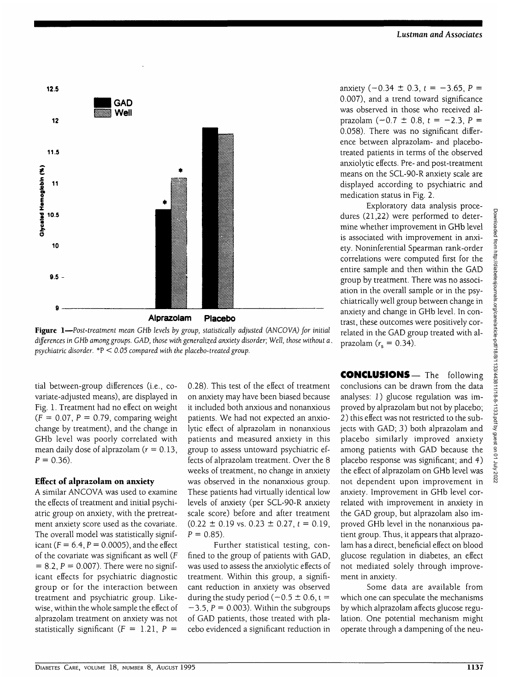

**Figure 1**—*Post-treatment mean GHb levels by group, statistically adjusted (ANCOVA) for initial differences in GHb among groups. GAD, those with generalized anxiety disorder; Well, those without a. psychiatric disorder.* \*P < *0.05 compared with the placebo-treated group.*

tial between-group differences (i.e., covariate-adjusted means), are displayed in Fig. 1. Treatment had no effect on weight  $(F = 0.07, P = 0.79,$  comparing weight change by treatment), and the change in GHb level was poorly correlated with mean daily dose of alprazolam ( $r = 0.13$ ,  $P = 0.36$ ).

#### **Effect of alprazolam on anxiety**

A similar ANCOVA was used to examine the effects of treatment and initial psychiatric group on anxiety, with the pretreatment anxiety score used as the covariate. The overall model was statistically significant ( $F = 6.4$ ,  $P = 0.0005$ ), and the effect of the covariate was significant as well (F  $= 8.2, P = 0.007$ . There were no significant effects for psychiatric diagnostic group or for the interaction between treatment and psychiatric group. Likewise, within the whole sample the effect of alprazolam treatment on anxiety was not statistically significant  $(F = 1.21, P =$ 

0.28). This test of the effect of treatment on anxiety may have been biased because it included both anxious and nonanxious patients. We had not expected an anxiolytic effect of alprazolam in nonanxious patients and measured anxiety in this group to assess untoward psychiatric effects of alprazolam treatment. Over the 8 weeks of treatment, no change in anxiety was observed in the nonanxious group. These patients had virtually identical low levels of anxiety (per SCL-90-R anxiety scale score) before and after treatment  $(0.22 \pm 0.19 \text{ vs. } 0.23 \pm 0.27, t = 0.19)$  $P = 0.85$ ).

Further statistical testing, confined to the group of patients with GAD, was used to assess the anxiolytic effects of treatment. Within this group, a significant reduction in anxiety was observed during the study period ( $-0.5 \pm 0.6$ , t =  $-3.5$ ,  $P = 0.003$ ). Within the subgroups of GAD patients, those treated with placebo evidenced a significant reduction in

anxiety  $(-0.34 \pm 0.3, t = -3.65, P =$ 0.007), and a trend toward significance was observed in those who received alprazolam  $(-0.7 \pm 0.8, t = -2.3, P =$ 0.058). There was no significant difference between alprazolam- and placebotreated patients in terms of the observed anxiolytic effects. Pre- and post-treatment means on the SCL-90-R anxiety scale are displayed according to psychiatric and medication status in Fig. 2.

Exploratory data analysis procedures (21,22) were performed to determine whether improvement in GHb level is associated with improvement in anxiety. Noninferential Spearman rank-order correlations were computed first for the entire sample and then within the GAD group by treatment. There was no association in the overall sample or in the psychiatrically well group between change in anxiety and change in GHb level. In contrast, these outcomes were positively correlated in the GAD group treated with alprazolam ( $r<sub>s</sub> = 0.34$ ).

**CONCLUSIONS—** The following conclusions can be drawn from the data analyses: 1) glucose regulation was improved by alprazolam but not by placebo; 2) this effect was not restricted to the subjects with GAD; 3) both alprazolam and placebo similarly improved anxiety among patients with GAD because the placebo response was significant; and 4) the effect of alprazolam on GHb level was not dependent upon improvement in anxiety. Improvement in GHb level correlated with improvement in anxiety in the GAD group, but alprazolam also improved GHb level in the nonanxious patient group. Thus, it appears that alprazolam has a direct, beneficial effect on blood glucose regulation in diabetes, an effect not mediated solely through improvement in anxiety.

Some data are available from which one can speculate the mechanisms by which alprazolam affects glucose regulation. One potential mechanism might operate through a dampening of the neu-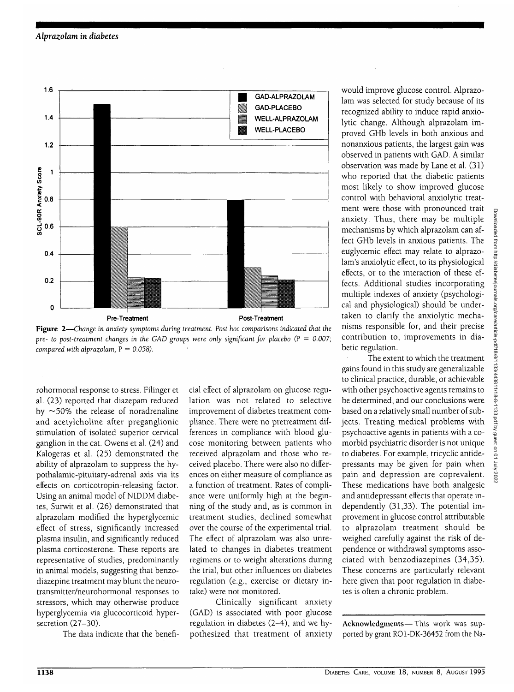

**Figure 2**—*Change in anxiety symptoms during treatment. Post hoc comparisons indicated that the pre- to post-treatment changes in the GAD groups were only significant for placebo* (P = *0.007; compared with alprazolam,* P = *0.058).*

rohormonal response to stress. Filinger et al. (23) reported that diazepam reduced by  $\sim$  50% the release of noradrenaline and acetylcholine after preganglionic stimulation of isolated superior cervical ganglion in the cat. Owens et al. (24) and Kalogeras et al. (25) demonstrated the ability of alprazolam to suppress the hypothalamic-pituitary-adrenal axis via its effects on corticotropin-releasing factor. Using an animal model of NIDDM diabetes, Surwit et al. (26) demonstrated that alprazolam modified the hyperglycemic effect of stress, significantly increased plasma insulin, and significantly reduced plasma corticosterone. These reports are representative of studies, predominantly in animal models, suggesting that benzodiazepine treatment may blunt the neurotransmitter/neurohormonal responses to stressors, which may otherwise produce hyperglycemia via glucocorticoid hypersecretion (27-30).

The data indicate that the benefi-

cial effect of alprazolam on glucose regulation was not related to selective improvement of diabetes treatment compliance. There were no pretreatment differences in compliance with blood glucose monitoring between patients who received alprazolam and those who received placebo. There were also no differences on either measure of compliance as a function of treatment. Rates of compliance were uniformly high at the beginning of the study and, as is common in treatment studies, declined somewhat over the course of the experimental trial. The effect of alprazolam was also unrelated to changes in diabetes treatment regimens or to weight alterations during the trial, but other influences on diabetes regulation (e.g., exercise or dietary intake) were not monitored.

Clinically significant anxiety (GAD) is associated with poor glucose regulation in diabetes (2-4), and we hypothesized that treatment of anxiety would improve glucose control. Alprazolam was selected for study because of its recognized ability to induce rapid anxiolytic change. Although alprazolam improved GHb levels in both anxious and nonanxious patients, the largest gain was observed in patients with GAD. A similar observation was made by Lane et al. (31) who reported that the diabetic patients most likely to show improved glucose control with behavioral anxiolytic treatment were those with pronounced trait anxiety. Thus, there may be multiple mechanisms by which alprazolam can affect GHb levels in anxious patients. The euglycemic effect may relate to alprazolam's anxiolytic effect, to its physiological effects, or to the interaction of these effects. Additional studies incorporating multiple indexes of anxiety (psychological and physiological) should be undertaken to clarify the anxiolytic mechanisms responsible for, and their precise contribution to, improvements in diabetic regulation.

The extent to which the treatment gains found in this study are generalizable to clinical practice, durable, or achievable with other psychoactive agents remains to be determined, and our conclusions were based on a relatively small number of subjects. Treating medical problems with psychoactive agents in patients with a comorbid psychiatric disorder is not unique to diabetes. For example, tricyclic antidepressants may be given for pain when pain and depression are coprevalent. These medications have both analgesic and antidepressant effects that operate independently (31,33). The potential improvement in glucose control attributable to alprazolam treatment should be weighed carefully against the risk of dependence or withdrawal symptoms associated with benzodiazepines (34,35). These concerns are particularly relevant here given that poor regulation in diabetes is often a chronic problem.

**Acknowledgments**— This work was supported by grant RO1-DK-36452 from the Na